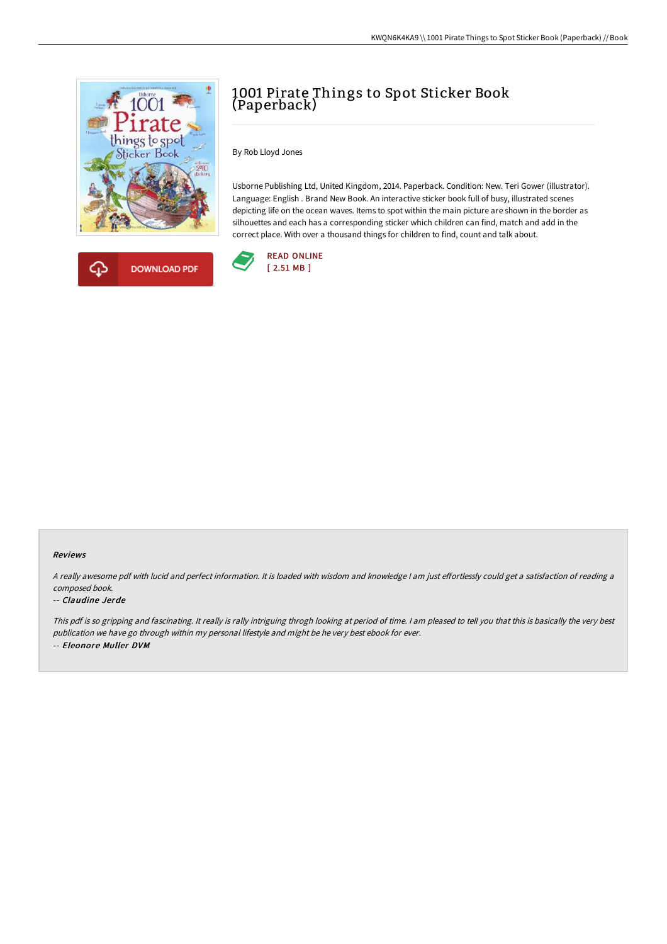



# 1001 Pirate Things to Spot Sticker Book (Paperback)

By Rob Lloyd Jones

Usborne Publishing Ltd, United Kingdom, 2014. Paperback. Condition: New. Teri Gower (illustrator). Language: English . Brand New Book. An interactive sticker book full of busy, illustrated scenes depicting life on the ocean waves. Items to spot within the main picture are shown in the border as silhouettes and each has a corresponding sticker which children can find, match and add in the correct place. With over a thousand things for children to find, count and talk about.



#### Reviews

A really awesome pdf with lucid and perfect information. It is loaded with wisdom and knowledge I am just effortlessly could get a satisfaction of reading a composed book.

#### -- Claudine Jerde

This pdf is so gripping and fascinating. It really is rally intriguing throgh looking at period of time. <sup>I</sup> am pleased to tell you that this is basically the very best publication we have go through within my personal lifestyle and might be he very best ebook for ever. -- Eleonore Muller DVM